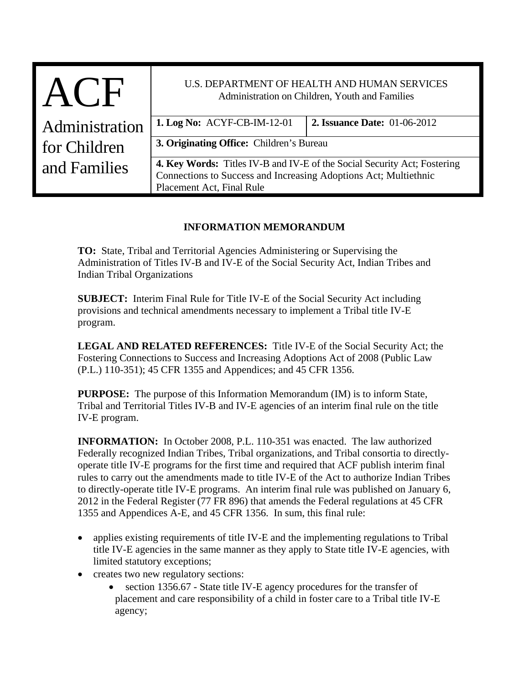| $\mathbf{H}$   | U.S. DEPARTMENT OF HEALTH AND HUMAN SERVICES<br>Administration on Children, Youth and Families                                                                                   |                                     |
|----------------|----------------------------------------------------------------------------------------------------------------------------------------------------------------------------------|-------------------------------------|
| Administration | <b>1. Log No: ACYF-CB-IM-12-01</b>                                                                                                                                               | <b>2. Issuance Date: 01-06-2012</b> |
| for Children   | 3. Originating Office: Children's Bureau                                                                                                                                         |                                     |
| and Families   | <b>4. Key Words:</b> Titles IV-B and IV-E of the Social Security Act; Fostering<br>Connections to Success and Increasing Adoptions Act; Multiethnic<br>Placement Act, Final Rule |                                     |

## **INFORMATION MEMORANDUM**

**TO:** State, Tribal and Territorial Agencies Administering or Supervising the Administration of Titles IV-B and IV-E of the Social Security Act, Indian Tribes and Indian Tribal Organizations

**SUBJECT:** Interim Final Rule for Title IV-E of the Social Security Act including provisions and technical amendments necessary to implement a Tribal title IV-E program.

**LEGAL AND RELATED REFERENCES:** Title IV-E of the Social Security Act; the Fostering Connections to Success and Increasing Adoptions Act of 2008 (Public Law (P.L.) 110-351); 45 CFR 1355 and Appendices; and 45 CFR 1356.

**PURPOSE:** The purpose of this Information Memorandum (IM) is to inform State, Tribal and Territorial Titles IV-B and IV-E agencies of an interim final rule on the title IV-E program.

**INFORMATION:** In October 2008, P.L. 110-351 was enacted. The law authorized Federally recognized Indian Tribes, Tribal organizations, and Tribal consortia to directlyoperate title IV-E programs for the first time and required that ACF publish interim final rules to carry out the amendments made to title IV-E of the Act to authorize Indian Tribes to directly-operate title IV-E programs. An interim final rule was published on January 6, 2012 in the Federal Register (77 FR 896) that amends the Federal regulations at 45 CFR 1355 and Appendices A-E, and 45 CFR 1356. In sum, this final rule:

- applies existing requirements of title IV-E and the implementing regulations to Tribal title IV-E agencies in the same manner as they apply to State title IV-E agencies, with limited statutory exceptions;
- creates two new regulatory sections:
	- section 1356.67 State title IV-E agency procedures for the transfer of placement and care responsibility of a child in foster care to a Tribal title IV-E agency;